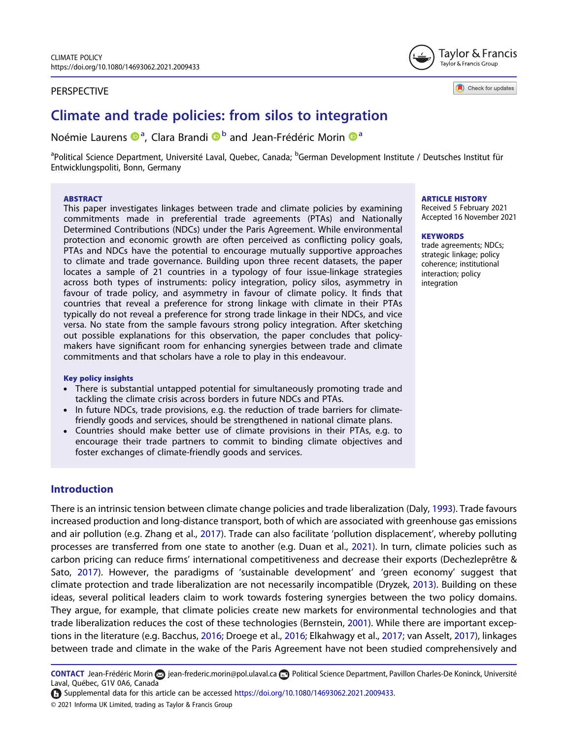#### PERSPECTIVE



Check for updates

# Climate and trade policies: from silos to integration

# Noémie Laurens ®ª, Clara Brandi ®<sup>b</sup> and Jean-Frédéric Morin ®ª

<sup>a</sup>Political Science Department, Université Laval, Quebec, Canada; <sup>b</sup>German Development Institute / Deutsches Institut für Entwicklungspoliti, Bonn, Germany

#### **ABSTRACT**

This paper investigates linkages between trade and climate policies by examining commitments made in preferential trade agreements (PTAs) and Nationally Determined Contributions (NDCs) under the Paris Agreement. While environmental protection and economic growth are often perceived as conflicting policy goals, PTAs and NDCs have the potential to encourage mutually supportive approaches to climate and trade governance. Building upon three recent datasets, the paper locates a sample of 21 countries in a typology of four issue-linkage strategies across both types of instruments: policy integration, policy silos, asymmetry in favour of trade policy, and asymmetry in favour of climate policy. It finds that countries that reveal a preference for strong linkage with climate in their PTAs typically do not reveal a preference for strong trade linkage in their NDCs, and vice versa. No state from the sample favours strong policy integration. After sketching out possible explanations for this observation, the paper concludes that policymakers have significant room for enhancing synergies between trade and climate commitments and that scholars have a role to play in this endeavour.

- . There is substantial untapped potential for simultaneously promoting trade and tackling the climate crisis across borders in future NDCs and PTAs.
- . In future NDCs, trade provisions, e.g. the reduction of trade barriers for climatefriendly goods and services, should be strengthened in national climate plans.
- . Countries should make better use of climate provisions in their PTAs, e.g. to encourage their trade partners to commit to binding climate objectives and foster exchanges of climate-friendly goods and services.

### **Introduction**

<span id="page-0-6"></span><span id="page-0-5"></span><span id="page-0-4"></span><span id="page-0-3"></span><span id="page-0-2"></span>There is an intrinsic tension between climate change policies and trade liberalization (Daly, [1993](#page-5-0)). Trade favours increased production and long-distance transport, both of which are associated with greenhouse gas emissions and air pollution (e.g. Zhang et al., [2017\)](#page-5-1). Trade can also facilitate 'pollution displacement', whereby polluting processes are transferred from one state to another (e.g. Duan et al., [2021](#page-5-2)). In turn, climate policies such as carbon pricing can reduce firms' international competitiveness and decrease their exports (Dechezleprêtre & Sato, [2017\)](#page-5-3). However, the paradigms of 'sustainable development' and 'green economy' suggest that climate protection and trade liberalization are not necessarily incompatible (Dryzek, [2013](#page-5-4)). Building on these ideas, several political leaders claim to work towards fostering synergies between the two policy domains. They argue, for example, that climate policies create new markets for environmental technologies and that trade liberalization reduces the cost of these technologies (Bernstein, [2001](#page-5-5)). While there are important exceptions in the literature (e.g. Bacchus, [2016](#page-5-6); Droege et al., [2016;](#page-5-7) Elkahwagy et al., [2017;](#page-5-8) van Asselt, [2017](#page-5-9)), linkages between trade and climate in the wake of the Paris Agreement have not been studied comprehensively and

<span id="page-0-1"></span><span id="page-0-0"></span>CONTACT Jean-Frédéric Morin a [jean-frederic.morin@pol.ulaval.ca](mailto:jean-frederic.morin@pol.ulaval.ca) Departical Science Department, Pavillon Charles-De Koninck, Université Laval, Québec, G1V 0A6, Canada

Supplemental data for this article can be accessed <https://doi.org/10.1080/14693062.2021.2009433>.

#### **ARTICLE HISTORY**

Received 5 February 2021 Accepted 16 November 2021

#### **KEYWORDS**

trade agreements; NDCs; strategic linkage; policy coherence; institutional interaction; policy integration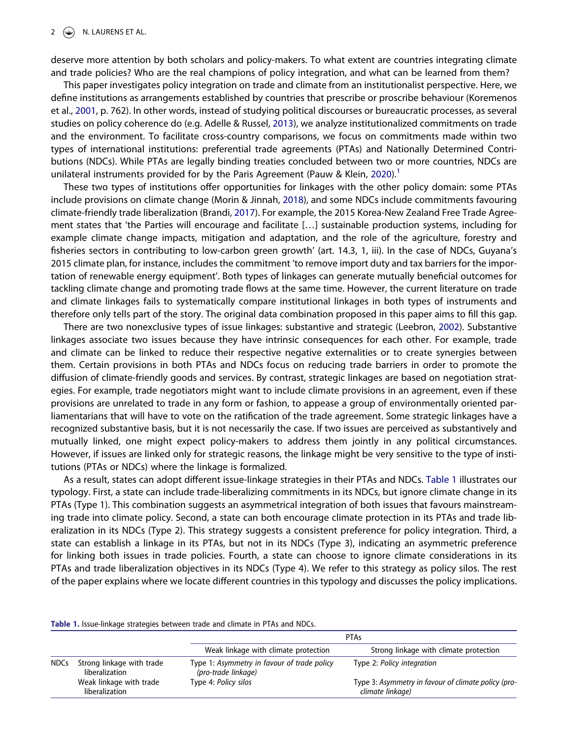deserve more attention by both scholars and policy-makers. To what extent are countries integrating climate and trade policies? Who are the real champions of policy integration, and what can be learned from them?

<span id="page-1-3"></span><span id="page-1-1"></span>This paper investigates policy integration on trade and climate from an institutionalist perspective. Here, we define institutions as arrangements established by countries that prescribe or proscribe behaviour (Koremenos et al., [2001,](#page-5-10) p. 762). In other words, instead of studying political discourses or bureaucratic processes, as several studies on policy coherence do (e.g. Adelle & Russel, [2013\)](#page-5-11), we analyze institutionalized commitments on trade and the environment. To facilitate cross-country comparisons, we focus on commitments made within two types of international institutions: preferential trade agreements (PTAs) and Nationally Determined Contributions (NDCs). While PTAs are legally binding treaties concluded between two or more countries, NDCs are unilateral instruments provided for by the Paris Agreement (Pauw & Klein, [2020](#page-5-12)).<sup>1</sup>

<span id="page-1-6"></span><span id="page-1-5"></span><span id="page-1-2"></span>These two types of institutions offer opportunities for linkages with the other policy domain: some PTAs include provisions on climate change (Morin & Jinnah, [2018](#page-5-13)), and some NDCs include commitments favouring climate-friendly trade liberalization (Brandi, [2017\)](#page-5-14). For example, the 2015 Korea-New Zealand Free Trade Agreement states that 'the Parties will encourage and facilitate […] sustainable production systems, including for example climate change impacts, mitigation and adaptation, and the role of the agriculture, forestry and fisheries sectors in contributing to low-carbon green growth' (art. 14.3, 1, iii). In the case of NDCs, Guyana's 2015 climate plan, for instance, includes the commitment 'to remove import duty and tax barriers for the importation of renewable energy equipment'. Both types of linkages can generate mutually beneficial outcomes for tackling climate change and promoting trade flows at the same time. However, the current literature on trade and climate linkages fails to systematically compare institutional linkages in both types of instruments and therefore only tells part of the story. The original data combination proposed in this paper aims to fill this gap.

<span id="page-1-4"></span>There are two nonexclusive types of issue linkages: substantive and strategic (Leebron, [2002](#page-5-15)). Substantive linkages associate two issues because they have intrinsic consequences for each other. For example, trade and climate can be linked to reduce their respective negative externalities or to create synergies between them. Certain provisions in both PTAs and NDCs focus on reducing trade barriers in order to promote the diffusion of climate-friendly goods and services. By contrast, strategic linkages are based on negotiation strategies. For example, trade negotiators might want to include climate provisions in an agreement, even if these provisions are unrelated to trade in any form or fashion, to appease a group of environmentally oriented parliamentarians that will have to vote on the ratification of the trade agreement. Some strategic linkages have a recognized substantive basis, but it is not necessarily the case. If two issues are perceived as substantively and mutually linked, one might expect policy-makers to address them jointly in any political circumstances. However, if issues are linked only for strategic reasons, the linkage might be very sensitive to the type of institutions (PTAs or NDCs) where the linkage is formalized.

As a result, states can adopt different issue-linkage strategies in their PTAs and NDCs. [Table 1](#page-1-0) illustrates our typology. First, a state can include trade-liberalizing commitments in its NDCs, but ignore climate change in its PTAs (Type 1). This combination suggests an asymmetrical integration of both issues that favours mainstreaming trade into climate policy. Second, a state can both encourage climate protection in its PTAs and trade liberalization in its NDCs (Type 2). This strategy suggests a consistent preference for policy integration. Third, a state can establish a linkage in its PTAs, but not in its NDCs (Type 3), indicating an asymmetric preference for linking both issues in trade policies. Fourth, a state can choose to ignore climate considerations in its PTAs and trade liberalization objectives in its NDCs (Type 4). We refer to this strategy as policy silos. The rest of the paper explains where we locate different countries in this typology and discusses the policy implications.

<span id="page-1-0"></span>Table 1. Issue-linkage strategies between trade and climate in PTAs and NDCs.

|             |                                             | PTAs                                                               |                                                                         |
|-------------|---------------------------------------------|--------------------------------------------------------------------|-------------------------------------------------------------------------|
|             |                                             | Weak linkage with climate protection                               | Strong linkage with climate protection                                  |
| <b>NDCs</b> | Strong linkage with trade<br>liberalization | Type 1: Asymmetry in favour of trade policy<br>(pro-trade linkage) | Type 2: Policy integration                                              |
|             | Weak linkage with trade<br>liberalization   | Type 4: Policy silos                                               | Type 3: Asymmetry in favour of climate policy (pro-<br>climate linkage) |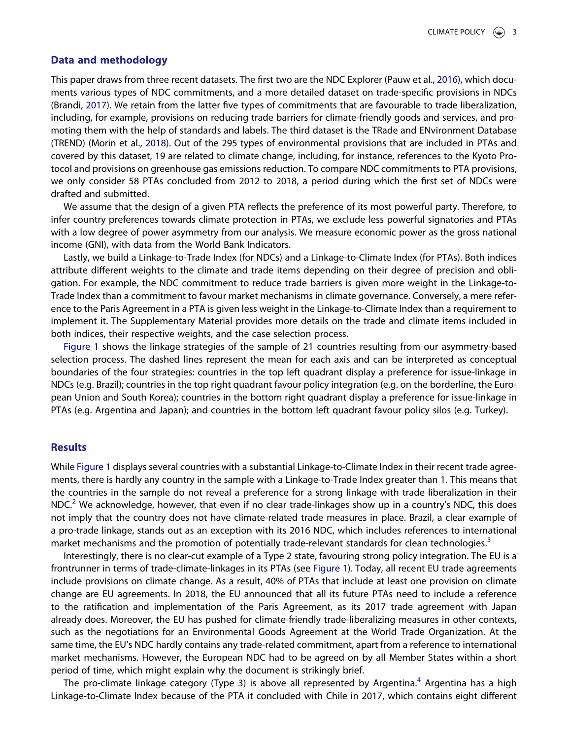#### Data and methodology

<span id="page-2-1"></span><span id="page-2-0"></span>This paper draws from three recent datasets. The first two are the NDC Explorer (Pauw et al., [2016\)](#page-5-16), which documents various types of NDC commitments, and a more detailed dataset on trade-specific provisions in NDCs (Brandi, [2017\)](#page-5-14). We retain from the latter five types of commitments that are favourable to trade liberalization, including, for example, provisions on reducing trade barriers for climate-friendly goods and services, and promoting them with the help of standards and labels. The third dataset is the TRade and ENvironment Database (TREND) (Morin et al., [2018\)](#page-5-17). Out of the 295 types of environmental provisions that are included in PTAs and covered by this dataset, 19 are related to climate change, including, for instance, references to the Kyoto Protocol and provisions on greenhouse gas emissions reduction. To compare NDC commitments to PTA provisions, we only consider 58 PTAs concluded from 2012 to 2018, a period during which the first set of NDCs were drafted and submitted.

We assume that the design of a given PTA reflects the preference of its most powerful party. Therefore, to infer country preferences towards climate protection in PTAs, we exclude less powerful signatories and PTAs with a low degree of power asymmetry from our analysis. We measure economic power as the gross national income (GNI), with data from the World Bank Indicators.

Lastly, we build a Linkage-to-Trade Index (for NDCs) and a Linkage-to-Climate Index (for PTAs). Both indices attribute different weights to the climate and trade items depending on their degree of precision and obligation. For example, the NDC commitment to reduce trade barriers is given more weight in the Linkage-to-Trade Index than a commitment to favour market mechanisms in climate governance. Conversely, a mere reference to the Paris Agreement in a PTA is given less weight in the Linkage-to-Climate Index than a requirement to implement it. The Supplementary Material provides more details on the trade and climate items included in both indices, their respective weights, and the case selection process.

[Figure 1](#page-3-0) shows the linkage strategies of the sample of 21 countries resulting from our asymmetry-based selection process. The dashed lines represent the mean for each axis and can be interpreted as conceptual boundaries of the four strategies: countries in the top left quadrant display a preference for issue-linkage in NDCs (e.g. Brazil); countries in the top right quadrant favour policy integration (e.g. on the borderline, the European Union and South Korea); countries in the bottom right quadrant display a preference for issue-linkage in PTAs (e.g. Argentina and Japan); and countries in the bottom left quadrant favour policy silos (e.g. Turkey).

#### **Results**

While [Figure 1](#page-3-0) displays several countries with a substantial Linkage-to-Climate Index in their recent trade agreements, there is hardly any country in the sample with a Linkage-to-Trade Index greater than 1. This means that the countries in the sample do not reveal a preference for a strong linkage with trade liberalization in their NDC.<sup>2</sup> We acknowledge, however, that even if no clear trade-linkages show up in a country's NDC, this does not imply that the country does not have climate-related trade measures in place. Brazil, a clear example of a pro-trade linkage, stands out as an exception with its 2016 NDC, which includes references to international market mechanisms and the promotion of potentially trade-relevant standards for clean technologies.<sup>[3](#page-4-2)</sup>

Interestingly, there is no clear-cut example of a Type 2 state, favouring strong policy integration. The EU is a frontrunner in terms of trade-climate-linkages in its PTAs (see [Figure 1](#page-3-0)). Today, all recent EU trade agreements include provisions on climate change. As a result, 40% of PTAs that include at least one provision on climate change are EU agreements. In 2018, the EU announced that all its future PTAs need to include a reference to the ratification and implementation of the Paris Agreement, as its 2017 trade agreement with Japan already does. Moreover, the EU has pushed for climate-friendly trade-liberalizing measures in other contexts, such as the negotiations for an Environmental Goods Agreement at the World Trade Organization. At the same time, the EU's NDC hardly contains any trade-related commitment, apart from a reference to international market mechanisms. However, the European NDC had to be agreed on by all Member States within a short period of time, which might explain why the document is strikingly brief.

The pro-climate linkage category (Type 3) is above all represented by Argentina.<sup>[4](#page-4-3)</sup> Argentina has a high Linkage-to-Climate Index because of the PTA it concluded with Chile in 2017, which contains eight different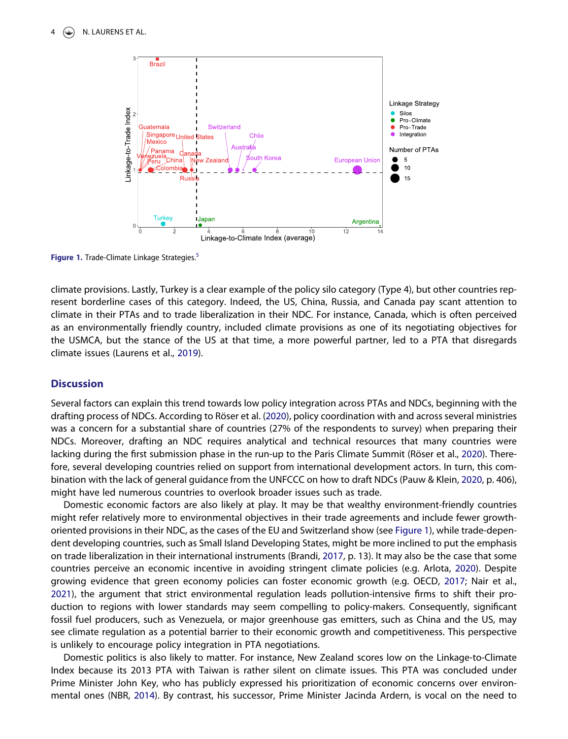<span id="page-3-0"></span>

Figure 1. Trade-Climate Linkage Strategies.<sup>[5](#page-4-4)</sup>

climate provisions. Lastly, Turkey is a clear example of the policy silo category (Type 4), but other countries represent borderline cases of this category. Indeed, the US, China, Russia, and Canada pay scant attention to climate in their PTAs and to trade liberalization in their NDC. For instance, Canada, which is often perceived as an environmentally friendly country, included climate provisions as one of its negotiating objectives for the USMCA, but the stance of the US at that time, a more powerful partner, led to a PTA that disregards climate issues (Laurens et al., [2019\)](#page-5-18).

#### <span id="page-3-2"></span>**Discussion**

<span id="page-3-5"></span>Several factors can explain this trend towards low policy integration across PTAs and NDCs, beginning with the drafting process of NDCs. According to Röser et al. ([2020](#page-5-19)), policy coordination with and across several ministries was a concern for a substantial share of countries (27% of the respondents to survey) when preparing their NDCs. Moreover, drafting an NDC requires analytical and technical resources that many countries were lacking during the first submission phase in the run-up to the Paris Climate Summit (Röser et al., [2020](#page-5-19)). Therefore, several developing countries relied on support from international development actors. In turn, this combination with the lack of general guidance from the UNFCCC on how to draft NDCs (Pauw & Klein, [2020,](#page-5-12) p. 406), might have led numerous countries to overlook broader issues such as trade.

<span id="page-3-3"></span><span id="page-3-1"></span>Domestic economic factors are also likely at play. It may be that wealthy environment-friendly countries might refer relatively more to environmental objectives in their trade agreements and include fewer growthoriented provisions in their NDC, as the cases of the EU and Switzerland show (see [Figure 1](#page-3-0)), while trade-dependent developing countries, such as Small Island Developing States, might be more inclined to put the emphasis on trade liberalization in their international instruments (Brandi, [2017,](#page-5-14) p. 13). It may also be the case that some countries perceive an economic incentive in avoiding stringent climate policies (e.g. Arlota, [2020\)](#page-5-20). Despite growing evidence that green economy policies can foster economic growth (e.g. OECD, [2017;](#page-5-21) Nair et al., [2021\)](#page-5-22), the argument that strict environmental regulation leads pollution-intensive firms to shift their production to regions with lower standards may seem compelling to policy-makers. Consequently, significant fossil fuel producers, such as Venezuela, or major greenhouse gas emitters, such as China and the US, may see climate regulation as a potential barrier to their economic growth and competitiveness. This perspective is unlikely to encourage policy integration in PTA negotiations.

<span id="page-3-4"></span>Domestic politics is also likely to matter. For instance, New Zealand scores low on the Linkage-to-Climate Index because its 2013 PTA with Taiwan is rather silent on climate issues. This PTA was concluded under Prime Minister John Key, who has publicly expressed his prioritization of economic concerns over environmental ones (NBR, [2014\)](#page-5-23). By contrast, his successor, Prime Minister Jacinda Ardern, is vocal on the need to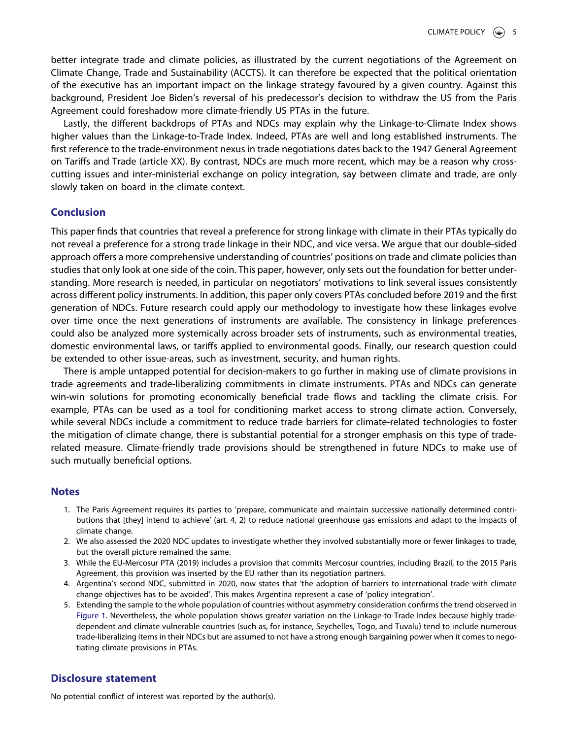better integrate trade and climate policies, as illustrated by the current negotiations of the Agreement on Climate Change, Trade and Sustainability (ACCTS). It can therefore be expected that the political orientation of the executive has an important impact on the linkage strategy favoured by a given country. Against this background, President Joe Biden's reversal of his predecessor's decision to withdraw the US from the Paris Agreement could foreshadow more climate-friendly US PTAs in the future.

Lastly, the different backdrops of PTAs and NDCs may explain why the Linkage-to-Climate Index shows higher values than the Linkage-to-Trade Index. Indeed, PTAs are well and long established instruments. The first reference to the trade-environment nexus in trade negotiations dates back to the 1947 General Agreement on Tariffs and Trade (article XX). By contrast, NDCs are much more recent, which may be a reason why crosscutting issues and inter-ministerial exchange on policy integration, say between climate and trade, are only slowly taken on board in the climate context.

## Conclusion

This paper finds that countries that reveal a preference for strong linkage with climate in their PTAs typically do not reveal a preference for a strong trade linkage in their NDC, and vice versa. We argue that our double-sided approach offers a more comprehensive understanding of countries' positions on trade and climate policies than studies that only look at one side of the coin. This paper, however, only sets out the foundation for better understanding. More research is needed, in particular on negotiators' motivations to link several issues consistently across different policy instruments. In addition, this paper only covers PTAs concluded before 2019 and the first generation of NDCs. Future research could apply our methodology to investigate how these linkages evolve over time once the next generations of instruments are available. The consistency in linkage preferences could also be analyzed more systemically across broader sets of instruments, such as environmental treaties, domestic environmental laws, or tariffs applied to environmental goods. Finally, our research question could be extended to other issue-areas, such as investment, security, and human rights.

There is ample untapped potential for decision-makers to go further in making use of climate provisions in trade agreements and trade-liberalizing commitments in climate instruments. PTAs and NDCs can generate win-win solutions for promoting economically beneficial trade flows and tackling the climate crisis. For example, PTAs can be used as a tool for conditioning market access to strong climate action. Conversely, while several NDCs include a commitment to reduce trade barriers for climate-related technologies to foster the mitigation of climate change, there is substantial potential for a stronger emphasis on this type of traderelated measure. Climate-friendly trade provisions should be strengthened in future NDCs to make use of such mutually beneficial options.

#### <span id="page-4-0"></span>**Notes**

- 1. The Paris Agreement requires its parties to 'prepare, communicate and maintain successive nationally determined contributions that [they] intend to achieve' (art. 4, 2) to reduce national greenhouse gas emissions and adapt to the impacts of climate change.
- <span id="page-4-1"></span>2. We also assessed the 2020 NDC updates to investigate whether they involved substantially more or fewer linkages to trade, but the overall picture remained the same.
- <span id="page-4-2"></span>3. While the EU-Mercosur PTA (2019) includes a provision that commits Mercosur countries, including Brazil, to the 2015 Paris Agreement, this provision was inserted by the EU rather than its negotiation partners.
- <span id="page-4-3"></span>4. Argentina's second NDC, submitted in 2020, now states that 'the adoption of barriers to international trade with climate change objectives has to be avoided'. This makes Argentina represent a case of 'policy integration'.
- <span id="page-4-4"></span>5. Extending the sample to the whole population of countries without asymmetry consideration confirms the trend observed in [Figure 1.](#page-3-0) Nevertheless, the whole population shows greater variation on the Linkage-to-Trade Index because highly tradedependent and climate vulnerable countries (such as, for instance, Seychelles, Togo, and Tuvalu) tend to include numerous trade-liberalizing items in their NDCs but are assumed to not have a strong enough bargaining power when it comes to negotiating climate provisions in PTAs.

### Disclosure statement

No potential conflict of interest was reported by the author(s).